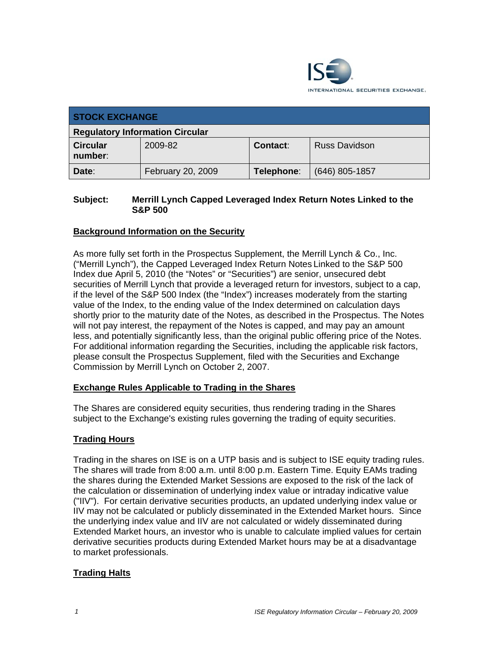

| <b>STOCK EXCHANGE</b>                  |                   |                 |                      |
|----------------------------------------|-------------------|-----------------|----------------------|
| <b>Regulatory Information Circular</b> |                   |                 |                      |
| <b>Circular</b><br>number:             | 2009-82           | <b>Contact:</b> | <b>Russ Davidson</b> |
| Date:                                  | February 20, 2009 | Telephone:      | (646) 805-1857       |

### **Subject: Merrill Lynch Capped Leveraged Index Return Notes Linked to the S&P 500**

## **Background Information on the Security**

As more fully set forth in the Prospectus Supplement, the Merrill Lynch & Co., Inc. ("Merrill Lynch"), the Capped Leveraged Index Return Notes Linked to the S&P 500 Index due April 5, 2010 (the "Notes" or "Securities") are senior, unsecured debt securities of Merrill Lynch that provide a leveraged return for investors, subject to a cap, if the level of the S&P 500 Index (the "Index") increases moderately from the starting value of the Index, to the ending value of the Index determined on calculation days shortly prior to the maturity date of the Notes, as described in the Prospectus. The Notes will not pay interest, the repayment of the Notes is capped, and may pay an amount less, and potentially significantly less, than the original public offering price of the Notes. For additional information regarding the Securities, including the applicable risk factors, please consult the Prospectus Supplement, filed with the Securities and Exchange Commission by Merrill Lynch on October 2, 2007.

#### **Exchange Rules Applicable to Trading in the Shares**

The Shares are considered equity securities, thus rendering trading in the Shares subject to the Exchange's existing rules governing the trading of equity securities.

## **Trading Hours**

Trading in the shares on ISE is on a UTP basis and is subject to ISE equity trading rules. The shares will trade from 8:00 a.m. until 8:00 p.m. Eastern Time. Equity EAMs trading the shares during the Extended Market Sessions are exposed to the risk of the lack of the calculation or dissemination of underlying index value or intraday indicative value ("IIV"). For certain derivative securities products, an updated underlying index value or IIV may not be calculated or publicly disseminated in the Extended Market hours. Since the underlying index value and IIV are not calculated or widely disseminated during Extended Market hours, an investor who is unable to calculate implied values for certain derivative securities products during Extended Market hours may be at a disadvantage to market professionals.

## **Trading Halts**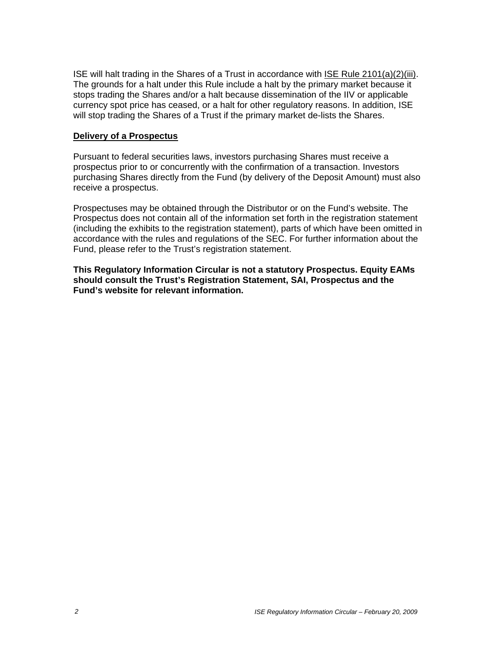ISE will halt trading in the Shares of a Trust in accordance with ISE Rule 2101(a)(2)(iii). The grounds for a halt under this Rule include a halt by the primary market because it stops trading the Shares and/or a halt because dissemination of the IIV or applicable currency spot price has ceased, or a halt for other regulatory reasons. In addition, ISE will stop trading the Shares of a Trust if the primary market de-lists the Shares.

#### **Delivery of a Prospectus**

Pursuant to federal securities laws, investors purchasing Shares must receive a prospectus prior to or concurrently with the confirmation of a transaction. Investors purchasing Shares directly from the Fund (by delivery of the Deposit Amount) must also receive a prospectus.

Prospectuses may be obtained through the Distributor or on the Fund's website. The Prospectus does not contain all of the information set forth in the registration statement (including the exhibits to the registration statement), parts of which have been omitted in accordance with the rules and regulations of the SEC. For further information about the Fund, please refer to the Trust's registration statement.

**This Regulatory Information Circular is not a statutory Prospectus. Equity EAMs should consult the Trust's Registration Statement, SAI, Prospectus and the Fund's website for relevant information.**